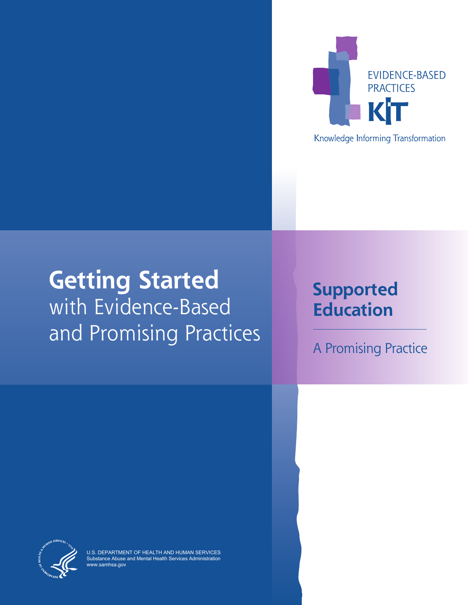

Knowledge Informing Transformation

# **Getting Started** with Evidence-Based and Promising Practices

# **Supported Education**

A Promising Practice



U.S. DEPARTMENT OF HEALTH AND HUMAN SERVICES Substance Abuse and Mental Health Services Administration ww.samhsa.go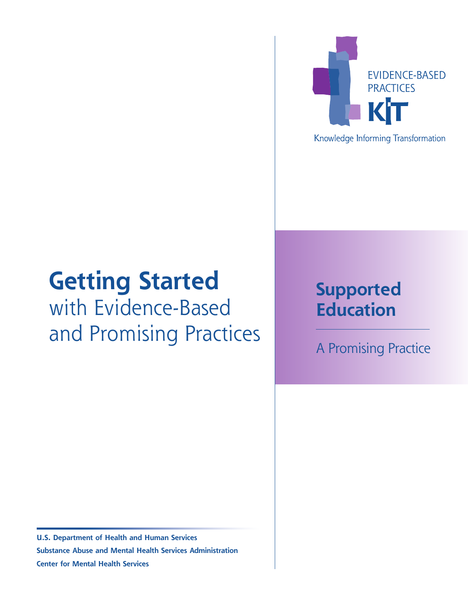

### Knowledge Informing Transformation

# **Getting Started** with Evidence-Based and Promising Practices

# **Supported Education**

A Promising Practice

**U.S. Department of Health and Human Services Substance Abuse and Mental Health Services Administration Center for Mental Health Services**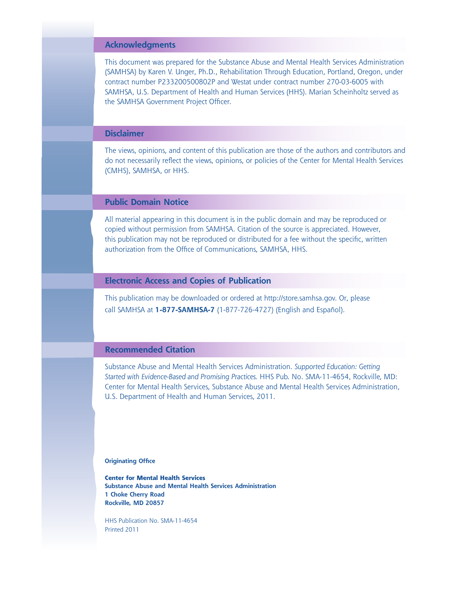#### **Acknowledgments**

This document was prepared for the Substance Abuse and Mental Health Services Administration (SAMHSA) by Karen V. Unger, Ph.D., Rehabilitation Through Education, Portland, Oregon, under contract number P233200500802P and Westat under contract number 270-03-6005 with SAMHSA, U.S. Department of Health and Human Services (HHS). Marian Scheinholtz served as the SAMHSA Government Project Officer.

#### **Disclaimer**

The views, opinions, and content of this publication are those of the authors and contributors and do not necessarily reflect the views, opinions, or policies of the Center for Mental Health Services (CMHS), SAMHSA, or HHS.

#### **Public Domain Notice**

All material appearing in this document is in the public domain and may be reproduced or copied without permission from SAMHSA. Citation of the source is appreciated. However, this publication may not be reproduced or distributed for a fee without the specific, written authorization from the Office of Communications, SAMHSA, HHS.

#### **Electronic Access and Copies of Publication**

This publication may be downloaded or ordered at [http://store.samhsa.gov.](http://store.samhsa.gov) Or, please call SAMHSA at **1-877-SAMHSA-7** (1-877-726-4727) (English and Español).

#### **Recommended Citation**

Substance Abuse and Mental Health Services Administration. *Supported Education: Getting Started with Evidence-Based and Promising Practices.* HHS Pub. No. SMA-11-4654, Rockville, MD: Center for Mental Health Services, Substance Abuse and Mental Health Services Administration, U.S. Department of Health and Human Services, 2011.

**Originating Office**

**Center for Mental Health Services Substance Abuse and Mental Health Services Administration 1 Choke Cherry Road Rockville, MD 20857**

HHS Publication No. SMA-11-4654 Printed 2011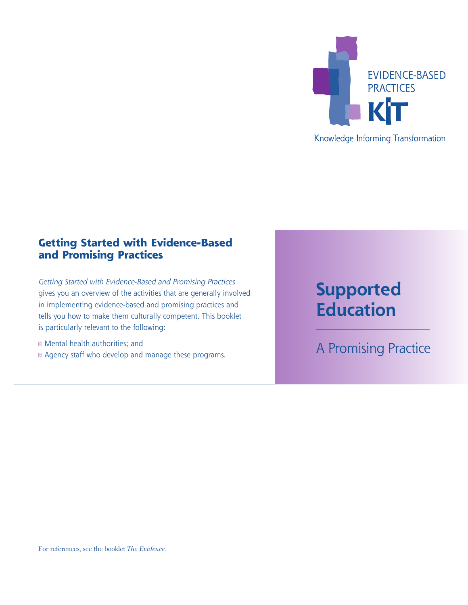

## **Getting Started with Evidence-Based and Promising Practices**

Getting Started with Evidence-Based and Promising Practices gives you an overview of the activities that are generally involved in implementing evidence-based and promising practices and tells you how to make them culturally competent. This booklet is particularly relevant to the following:

- Mental health authorities; and
- Agency staff who develop and manage these programs.

# **Supported Education**

A Promising Practice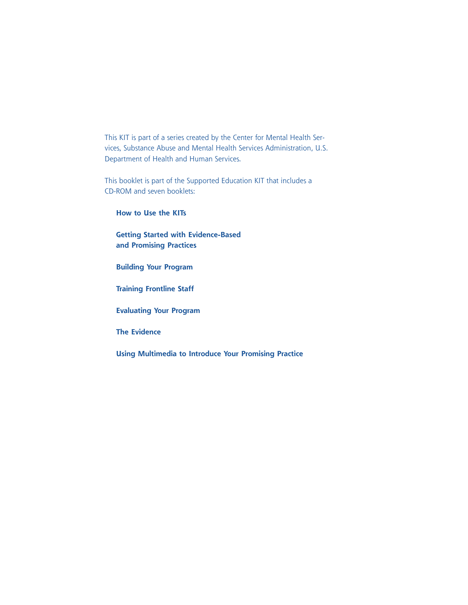This KIT is part of a series created by the Center for Mental Health Services, Substance Abuse and Mental Health Services Administration, U.S. Department of Health and Human Services.

This booklet is part of the Supported Education KIT that includes a CD-ROM and seven booklets:

**How to Use the KITs**

**Getting Started with Evidence-Based and Promising Practices**

**Building Your Program**

**Training Frontline Staff**

**Evaluating Your Program**

**The Evidence**

**Using Multimedia to Introduce Your Promising Practice**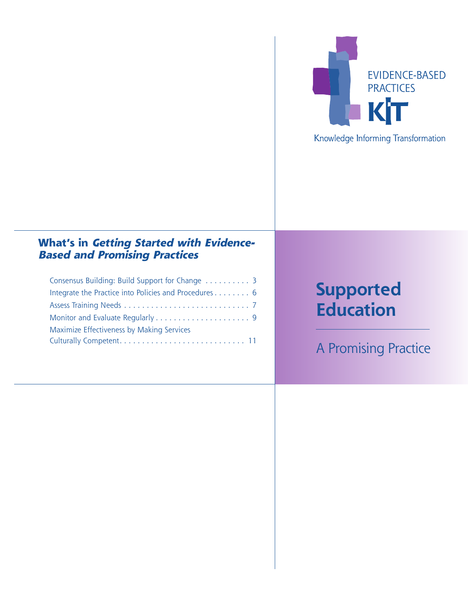

# **What's in Getting Started with Evidence-**

## **Based and Promising Practices**

| Consensus Building: Build Support for Change  3       |
|-------------------------------------------------------|
| Integrate the Practice into Policies and Procedures 6 |
|                                                       |
|                                                       |
| Maximize Effectiveness by Making Services             |
|                                                       |

# **Supported Education**

A Promising Practice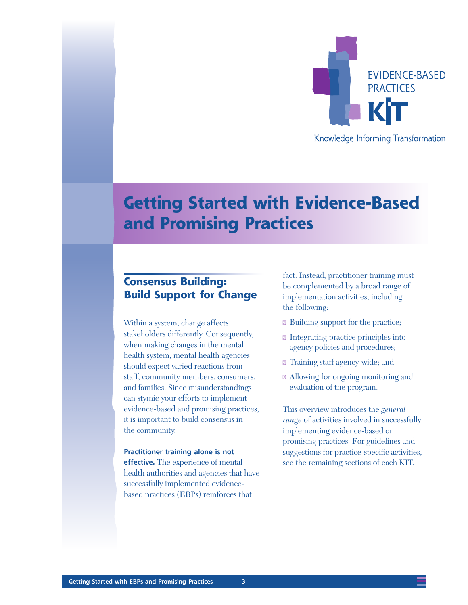

# **Getting Started with Evidence-Based and Promising Practices**

## **Consensus Building: Build Support for Change**

Within a system, change affects stakeholders differently. Consequently, when making changes in the mental health system, mental health agencies should expect varied reactions from staff, community members, consumers, and families. Since misunderstandings can stymie your efforts to implement evidence-based and promising practices, it is important to build consensus in the community.

**Practitioner training alone is not effective.** The experience of mental health authorities and agencies that have successfully implemented evidencebased practices (EBPs) reinforces that

fact. Instead, practitioner training must be complemented by a broad range of implementation activities, including the following:

- Building support for the practice;
- Integrating practice principles into agency policies and procedures;
- Training staff agency-wide; and
- Allowing for ongoing monitoring and evaluation of the program.

This overview introduces the *general range* of activities involved in successfully implementing evidence-based or promising practices. For guidelines and suggestions for practice-specific activities, see the remaining sections of each KIT.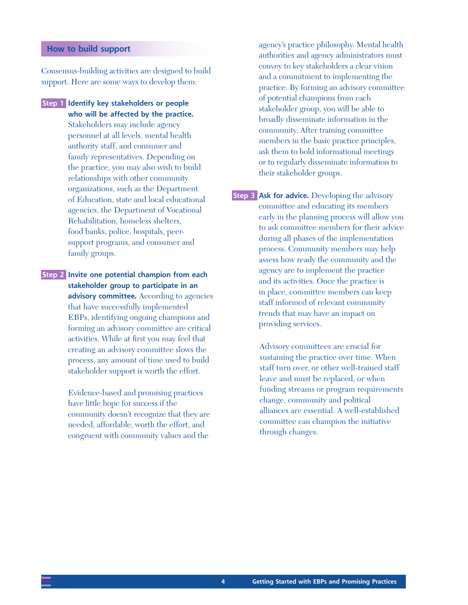#### **How to build support**

Consensus-building activities are designed to build support. Here are some ways to develop them:

**Step 1 Identify key stakeholders or people who will be affected by the practice.** Stakeholders may include agency personnel at all levels, mental health authority staff, and consumer and family representatives. Depending on the practice, you may also wish to build relationships with other community organizations, such as the Department of Education, state and local educational agencies, the Department of Vocational Rehabilitation, homeless shelters, food banks, police, hospitals, peersupport programs, and consumer and family groups.

**Step 2 Invite one potential champion from each stakeholder group to participate in an advisory committee.** According to agencies that have successfully implemented EBPs, identifying ongoing champions and forming an advisory committee are critical activities. While at first you may feel that creating an advisory committee slows the process, any amount of time used to build stakeholder support is worth the effort.

> Evidence-based and promising practices have little hope for success if the community doesn't recognize that they are needed, affordable, worth the effort, and congruent with community values and the

agency's practice philosophy. Mental health authorities and agency administrators must convey to key stakeholders a clear vision and a commitment to implementing the practice. By forming an advisory committee of potential champions from each stakeholder group, you will be able to broadly disseminate information in the community. After training committee members in the basic practice principles, ask them to hold informational meetings or to regularly disseminate information to their stakeholder groups.

**Step 3 Ask for advice.** Developing the advisory committee and educating its members early in the planning process will allow you to ask committee members for their advice during all phases of the implementation process. Community members may help assess how ready the community and the agency are to implement the practice and its activities. Once the practice is in place, committee members can keep staff informed of relevant community trends that may have an impact on providing services.

> Advisory committees are crucial for sustaining the practice over time. When staff turn over, or other well-trained staff leave and must be replaced, or when funding streams or program requirements change, community and political alliances are essential. A well-established committee can champion the initiative through changes.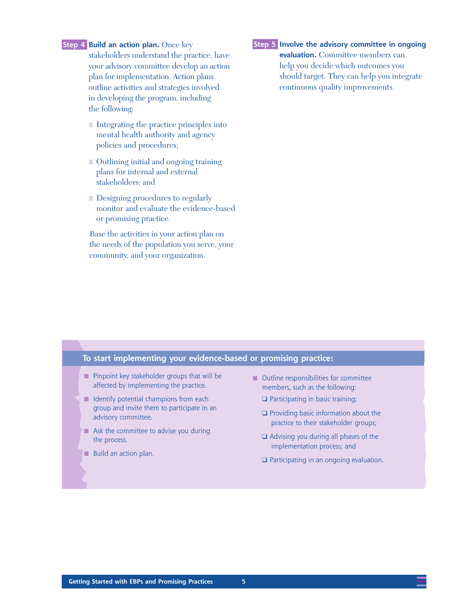#### **Step 4 Build an action plan.** Once key

stakeholders understand the practice, have your advisory committee develop an action plan for implementation. Action plans outline activities and strategies involved in developing the program, including the following:

- n Integrating the practice principles into mental health authority and agency policies and procedures;
- Outlining initial and ongoing training plans for internal and external stakeholders; and
- Designing procedures to regularly monitor and evaluate the evidence-based or promising practice.

Base the activities in your action plan on the needs of the population you serve, your community, and your organization.

#### **Step 5 Involve the advisory committee in ongoing**

**evaluation.** Committee members can help you decide which outcomes you should target. They can help you integrate continuous quality improvements.

#### **To start implementing your evidence-based or promising practice:**

- Pinpoint key stakeholder groups that will be affected by implementing the practice.
- Identify potential champions from each group and invite them to participate in an advisory committee.
- Ask the committee to advise you during the process.
- Build an action plan.
- Outline responsibilities for committee members, such as the following:
	- ❑ Participating in basic training;
	- ❑ Providing basic information about the practice to their stakeholder groups;
	- ❑ Advising you during all phases of the implementation process; and
	- ❑ Participating in an ongoing evaluation.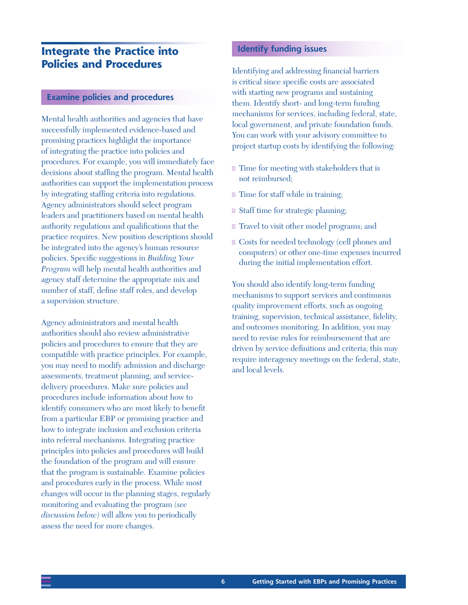## **Integrate the Practice into Policies and Procedures**

#### **Examine policies and procedures**

Mental health authorities and agencies that have successfully implemented evidence-based and promising practices highlight the importance of integrating the practice into policies and procedures. For example, you will immediately face decisions about staffing the program. Mental health authorities can support the implementation process by integrating staffing criteria into regulations. Agency administrators should select program leaders and practitioners based on mental health authority regulations and qualifications that the practice requires. New position descriptions should be integrated into the agency's human resource policies. Specific suggestions in *Building Your Program* will help mental health authorities and agency staff determine the appropriate mix and number of staff, define staff roles, and develop a supervision structure.

Agency administrators and mental health authorities should also review administrative policies and procedures to ensure that they are compatible with practice principles. For example, you may need to modify admission and discharge assessments, treatment planning, and servicedelivery procedures. Make sure policies and procedures include information about how to identify consumers who are most likely to benefit from a particular EBP or promising practice and how to integrate inclusion and exclusion criteria into referral mechanisms. Integrating practice principles into policies and procedures will build the foundation of the program and will ensure that the program is sustainable. Examine policies and procedures early in the process. While most changes will occur in the planning stages, regularly monitoring and evaluating the program (*see discussion below*) will allow you to periodically assess the need for more changes.

#### **Identify funding issues**

Identifying and addressing financial barriers is critical since specific costs are associated with starting new programs and sustaining them. Identify short- and long-term funding mechanisms for services, including federal, state, local government, and private foundation funds. You can work with your advisory committee to project startup costs by identifying the following:

- Time for meeting with stakeholders that is not reimbursed;
- Time for staff while in training;
- Staff time for strategic planning;
- Travel to visit other model programs; and
- Costs for needed technology (cell phones and computers) or other one-time expenses incurred during the initial implementation effort.

You should also identify long-term funding mechanisms to support services and continuous quality improvement efforts, such as ongoing training, supervision, technical assistance, fidelity, and outcomes monitoring. In addition, you may need to revise rules for reimbursement that are driven by service definitions and criteria; this may require interagency meetings on the federal, state, and local levels.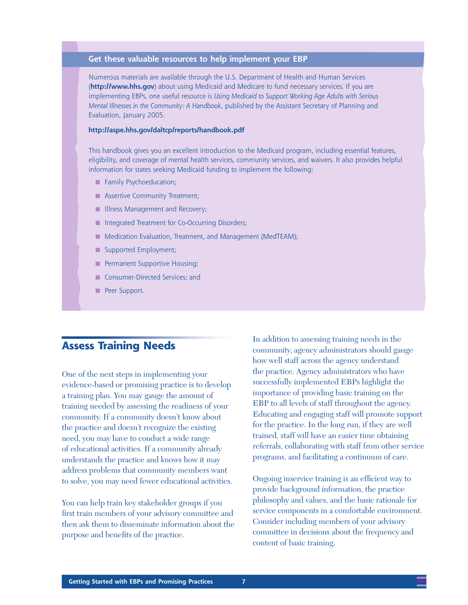#### **Get these valuable resources to help implement your EBP**

Numerous materials are available through the U.S. Department of Health and Human Services (**<http://www.hhs.gov>**) about using Medicaid and Medicare to fund necessary services. If you are implementing EBPs, one useful resource is *Using Medicaid to Support Working Age Adults with Serious Mental Illnesses in the Community: A Handbook*, published by the Assistant Secretary of Planning and Evaluation, January 2005.

#### **<http://aspe.hhs.gov/daltcp/reports/handbook.pdf>**

This handbook gives you an excellent introduction to the Medicaid program, including essential features, eligibility, and coverage of mental health services, community services, and waivers. It also provides helpful information for states seeking Medicaid funding to implement the following:

- Family Psychoeducation;
- Assertive Community Treatment;
- **Illness Management and Recovery;**
- Integrated Treatment for Co-Occurring Disorders;
- Medication Evaluation, Treatment, and Management (MedTEAM);
- Supported Employment;
- **B** Permanent Supportive Housing;
- Consumer-Directed Services; and
- Peer Support.

### **Assess Training Needs**

One of the next steps in implementing your evidence-based or promising practice is to develop a training plan. You may gauge the amount of training needed by assessing the readiness of your community. If a community doesn't know about the practice and doesn't recognize the existing need, you may have to conduct a wide range of educational activities. If a community already understands the practice and knows how it may address problems that community members want to solve, you may need fewer educational activities.

You can help train key stakeholder groups if you first train members of your advisory committee and then ask them to disseminate information about the purpose and benefits of the practice.

In addition to assessing training needs in the community, agency administrators should gauge how well staff across the agency understand the practice. Agency administrators who have successfully implemented EBPs highlight the importance of providing basic training on the EBP to all levels of staff throughout the agency. Educating and engaging staff will promote support for the practice. In the long run, if they are well trained, staff will have an easier time obtaining referrals, collaborating with staff from other service programs, and facilitating a continuum of care.

Ongoing inservice training is an efficient way to provide background information, the practice philosophy and values, and the basic rationale for service components in a comfortable environment. Consider including members of your advisory committee in decisions about the frequency and content of basic training.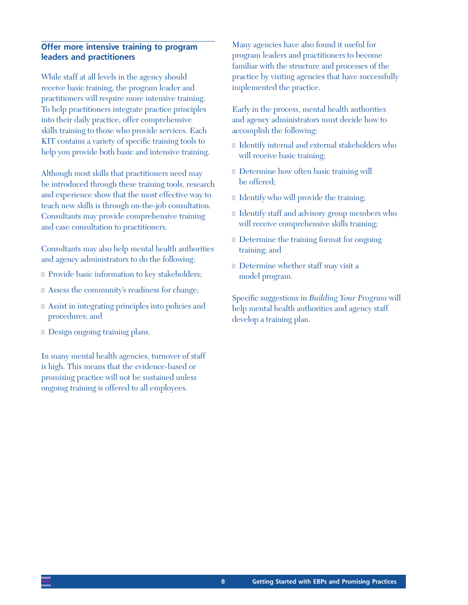#### **Offer more intensive training to program leaders and practitioners**

While staff at all levels in the agency should receive basic training, the program leader and practitioners will require more intensive training. To help practitioners integrate practice principles into their daily practice, offer comprehensive skills training to those who provide services. Each KIT contains a variety of specific training tools to help you provide both basic and intensive training.

Although most skills that practitioners need may be introduced through these training tools, research and experience show that the most effective way to teach new skills is through on-the-job consultation. Consultants may provide comprehensive training and case consultation to practitioners.

Consultants may also help mental health authorities and agency administrators to do the following:

- n Provide basic information to key stakeholders;
- Assess the community's readiness for change;
- Assist in integrating principles into policies and procedures; and
- Design ongoing training plans.

In many mental health agencies, turnover of staff is high. This means that the evidence-based or promising practice will not be sustained unless ongoing training is offered to all employees.

Many agencies have also found it useful for program leaders and practitioners to become familiar with the structure and processes of the practice by visiting agencies that have successfully implemented the practice.

Early in the process, mental health authorities and agency administrators must decide how to accomplish the following:

- Identify internal and external stakeholders who will receive basic training;
- Determine how often basic training will be offered;
- Identify who will provide the training;
- Identify staff and advisory group members who will receive comprehensive skills training;
- Determine the training format for ongoing training; and
- Determine whether staff may visit a model program.

Specific suggestions in *Building Your Program* will help mental health authorities and agency staff develop a training plan.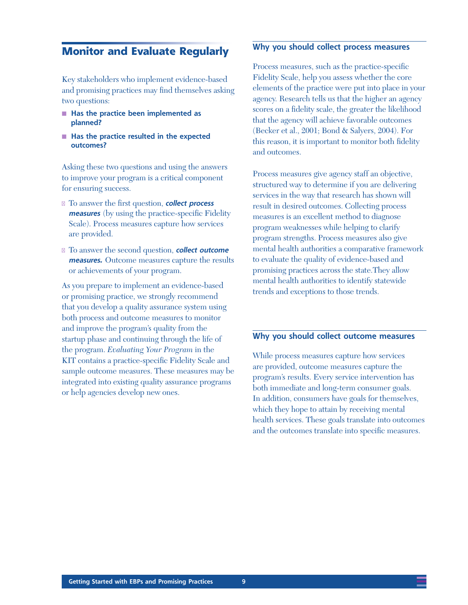### **Monitor and Evaluate Regularly**

Key stakeholders who implement evidence-based and promising practices may find themselves asking two questions:

- Has the practice been implemented as **planned?**
- Has the practice resulted in the expected **outcomes?**

Asking these two questions and using the answers to improve your program is a critical component for ensuring success.

- To answer the first question, **collect process measures** (by using the practice-specific Fidelity Scale). Process measures capture how services are provided.
- To answer the second question, **collect outcome measures.** Outcome measures capture the results or achievements of your program.

As you prepare to implement an evidence-based or promising practice, we strongly recommend that you develop a quality assurance system using both process and outcome measures to monitor and improve the program's quality from the startup phase and continuing through the life of the program. *Evaluating Your Program* in the KIT contains a practice-specific Fidelity Scale and sample outcome measures. These measures may be integrated into existing quality assurance programs or help agencies develop new ones.

#### **Why you should collect process measures**

Process measures, such as the practice-specific Fidelity Scale, help you assess whether the core elements of the practice were put into place in your agency. Research tells us that the higher an agency scores on a fidelity scale, the greater the likelihood that the agency will achieve favorable outcomes (Becker et al., 2001; Bond & Salyers, 2004). For this reason, it is important to monitor both fidelity and outcomes.

Process measures give agency staff an objective, structured way to determine if you are delivering services in the way that research has shown will result in desired outcomes. Collecting process measures is an excellent method to diagnose program weaknesses while helping to clarify program strengths. Process measures also give mental health authorities a comparative framework to evaluate the quality of evidence-based and promising practices across the state.They allow mental health authorities to identify statewide trends and exceptions to those trends.

#### **Why you should collect outcome measures**

While process measures capture how services are provided, outcome measures capture the program's results. Every service intervention has both immediate and long-term consumer goals. In addition, consumers have goals for themselves, which they hope to attain by receiving mental health services. These goals translate into outcomes and the outcomes translate into specific measures.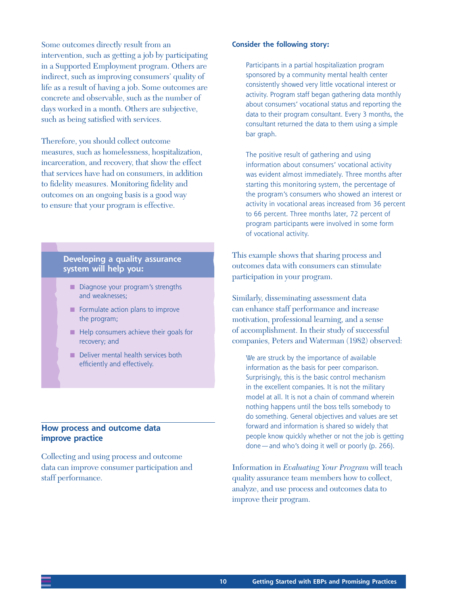Some outcomes directly result from an intervention, such as getting a job by participating in a Supported Employment program. Others are indirect, such as improving consumers' quality of life as a result of having a job. Some outcomes are concrete and observable, such as the number of days worked in a month. Others are subjective, such as being satisfied with services.

Therefore, you should collect outcome measures, such as homelessness, hospitalization, incarceration, and recovery, that show the effect that services have had on consumers, in addition to fidelity measures. Monitoring fidelity and outcomes on an ongoing basis is a good way to ensure that your program is effective.

#### **Developing a quality assurance system will help you:**

- Diagnose your program's strengths and weaknesses;
- Formulate action plans to improve the program;
- Help consumers achieve their goals for recovery; and
- Deliver mental health services both efficiently and effectively.

#### **How process and outcome data improve practice**

Collecting and using process and outcome data can improve consumer participation and staff performance.

#### **Consider the following story:**

Participants in a partial hospitalization program sponsored by a community mental health center consistently showed very little vocational interest or activity. Program staff began gathering data monthly about consumers' vocational status and reporting the data to their program consultant. Every 3 months, the consultant returned the data to them using a simple bar graph.

The positive result of gathering and using information about consumers' vocational activity was evident almost immediately. Three months after starting this monitoring system, the percentage of the program's consumers who showed an interest or activity in vocational areas increased from 36 percent to 66 percent. Three months later, 72 percent of program participants were involved in some form of vocational activity.

This example shows that sharing process and outcomes data with consumers can stimulate participation in your program.

Similarly, disseminating assessment data can enhance staff performance and increase motivation, professional learning, and a sense of accomplishment. In their study of successful companies, Peters and Waterman (1982) observed:

We are struck by the importance of available information as the basis for peer comparison. Surprisingly, this is the basic control mechanism in the excellent companies. It is not the military model at all. It is not a chain of command wherein nothing happens until the boss tells somebody to do something. General objectives and values are set forward and information is shared so widely that people know quickly whether or not the job is getting done—and who's doing it well or poorly (p. 266).

Information in *Evaluating Your Program* will teach quality assurance team members how to collect, analyze, and use process and outcomes data to improve their program.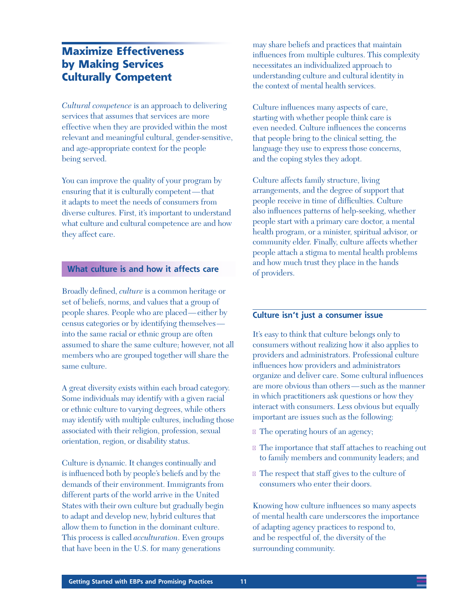## **Maximize Effectiveness by Making Services Culturally Competent**

*Cultural competence* is an approach to delivering services that assumes that services are more effective when they are provided within the most relevant and meaningful cultural, gender-sensitive, and age-appropriate context for the people being served.

You can improve the quality of your program by ensuring that it is culturally competent—that it adapts to meet the needs of consumers from diverse cultures. First, it's important to understand what culture and cultural competence are and how they affect care.

#### **What culture is and how it affects care**

Broadly defined, *culture* is a common heritage or set of beliefs, norms, and values that a group of people shares. People who are placed—either by census categories or by identifying themselves into the same racial or ethnic group are often assumed to share the same culture; however, not all members who are grouped together will share the same culture.

A great diversity exists within each broad category. Some individuals may identify with a given racial or ethnic culture to varying degrees, while others may identify with multiple cultures, including those associated with their religion, profession, sexual orientation, region, or disability status.

Culture is dynamic. It changes continually and is influenced both by people's beliefs and by the demands of their environment. Immigrants from different parts of the world arrive in the United States with their own culture but gradually begin to adapt and develop new, hybrid cultures that allow them to function in the dominant culture. This process is called *acculturation*. Even groups that have been in the U.S. for many generations

may share beliefs and practices that maintain influences from multiple cultures. This complexity necessitates an individualized approach to understanding culture and cultural identity in the context of mental health services.

Culture influences many aspects of care, starting with whether people think care is even needed. Culture influences the concerns that people bring to the clinical setting, the language they use to express those concerns, and the coping styles they adopt.

Culture affects family structure, living arrangements, and the degree of support that people receive in time of difficulties. Culture also influences patterns of help-seeking, whether people start with a primary care doctor, a mental health program, or a minister, spiritual advisor, or community elder. Finally, culture affects whether people attach a stigma to mental health problems and how much trust they place in the hands of providers.

#### **Culture isn't just a consumer issue**

It's easy to think that culture belongs only to consumers without realizing how it also applies to providers and administrators. Professional culture influences how providers and administrators organize and deliver care. Some cultural influences are more obvious than others—such as the manner in which practitioners ask questions or how they interact with consumers. Less obvious but equally important are issues such as the following:

- The operating hours of an agency;
- The importance that staff attaches to reaching out to family members and community leaders; and
- The respect that staff gives to the culture of consumers who enter their doors.

Knowing how culture influences so many aspects of mental health care underscores the importance of adapting agency practices to respond to, and be respectful of, the diversity of the surrounding community.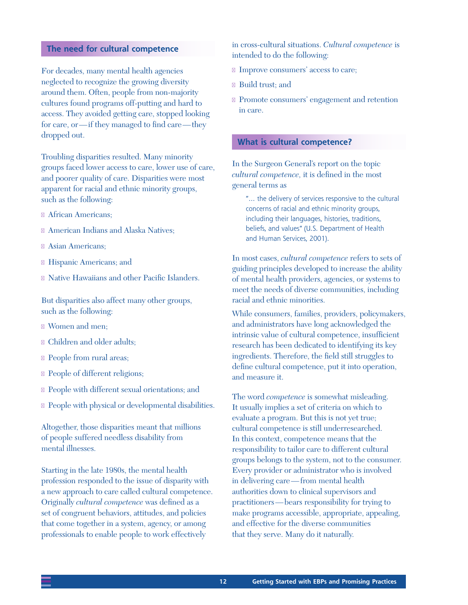#### **The need for cultural competence**

For decades, many mental health agencies neglected to recognize the growing diversity around them. Often, people from non-majority cultures found programs off-putting and hard to access. They avoided getting care, stopped looking for care, or—if they managed to find care—they dropped out.

Troubling disparities resulted. Many minority groups faced lower access to care, lower use of care, and poorer quality of care. Disparities were most apparent for racial and ethnic minority groups, such as the following:

- African Americans;
- American Indians and Alaska Natives;
- Asian Americans;
- Hispanic Americans; and
- Native Hawaiians and other Pacific Islanders.

But disparities also affect many other groups, such as the following:

- Women and men;
- Children and older adults;
- People from rural areas;
- People of different religions;
- People with different sexual orientations; and
- People with physical or developmental disabilities.

Altogether, those disparities meant that millions of people suffered needless disability from mental illnesses.

Starting in the late 1980s, the mental health profession responded to the issue of disparity with a new approach to care called cultural competence. Originally *cultural competence* was defined as a set of congruent behaviors, attitudes, and policies that come together in a system, agency, or among professionals to enable people to work effectively

in cross-cultural situations. *Cultural competence* is intended to do the following:

- Improve consumers' access to care;
- Build trust; and
- Promote consumers' engagement and retention in care.

#### **What is cultural competence?**

In the Surgeon General's report on the topic *cultural competence,* it is defined in the most general terms as

"… the delivery of services responsive to the cultural concerns of racial and ethnic minority groups, including their languages, histories, traditions, beliefs, and values" (U.S. Department of Health and Human Services, 2001).

In most cases, *cultural competence* refers to sets of guiding principles developed to increase the ability of mental health providers, agencies, or systems to meet the needs of diverse communities, including racial and ethnic minorities.

While consumers, families, providers, policymakers, and administrators have long acknowledged the intrinsic value of cultural competence, insufficient research has been dedicated to identifying its key ingredients. Therefore, the field still struggles to define cultural competence, put it into operation, and measure it.

The word *competence* is somewhat misleading. It usually implies a set of criteria on which to evaluate a program. But this is not yet true; cultural competence is still underresearched. In this context, competence means that the responsibility to tailor care to different cultural groups belongs to the system, not to the consumer. Every provider or administrator who is involved in delivering care—from mental health authorities down to clinical supervisors and practitioners—bears responsibility for trying to make programs accessible, appropriate, appealing, and effective for the diverse communities that they serve. Many do it naturally.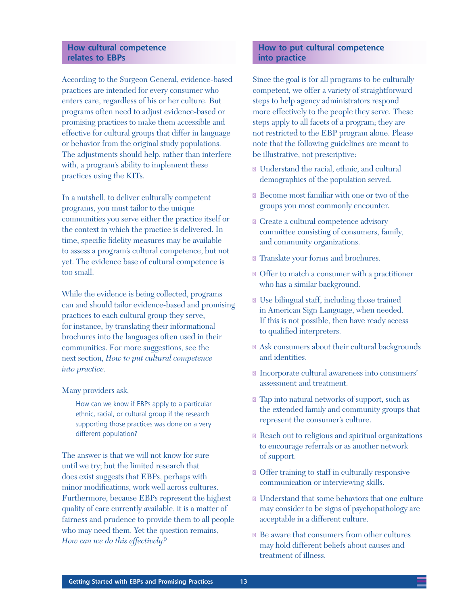#### **How cultural competence relates to EBPs**

According to the Surgeon General, evidence-based practices are intended for every consumer who enters care, regardless of his or her culture. But programs often need to adjust evidence-based or promising practices to make them accessible and effective for cultural groups that differ in language or behavior from the original study populations. The adjustments should help, rather than interfere with, a program's ability to implement these practices using the KITs.

In a nutshell, to deliver culturally competent programs, you must tailor to the unique communities you serve either the practice itself or the context in which the practice is delivered. In time, specific fidelity measures may be available to assess a program's cultural competence, but not yet. The evidence base of cultural competence is too small.

While the evidence is being collected, programs can and should tailor evidence-based and promising practices to each cultural group they serve, for instance, by translating their informational brochures into the languages often used in their communities. For more suggestions, see the next section, *How to put cultural competence into practice*.

#### Many providers ask,

How can we know if EBPs apply to a particular ethnic, racial, or cultural group if the research supporting those practices was done on a very different population?

The answer is that we will not know for sure until we try; but the limited research that does exist suggests that EBPs, perhaps with minor modifications, work well across cultures. Furthermore, because EBPs represent the highest quality of care currently available, it is a matter of fairness and prudence to provide them to all people who may need them. Yet the question remains, *How can we do this effectively?*

#### **How to put cultural competence into practice**

Since the goal is for all programs to be culturally competent, we offer a variety of straightforward steps to help agency administrators respond more effectively to the people they serve. These steps apply to all facets of a program; they are not restricted to the EBP program alone. Please note that the following guidelines are meant to be illustrative, not prescriptive:

- Understand the racial, ethnic, and cultural demographics of the population served.
- Become most familiar with one or two of the groups you most commonly encounter.
- Create a cultural competence advisory committee consisting of consumers, family, and community organizations.
- Translate your forms and brochures.
- Offer to match a consumer with a practitioner who has a similar background.
- Use bilingual staff, including those trained in American Sign Language, when needed. If this is not possible, then have ready access to qualified interpreters.
- Ask consumers about their cultural backgrounds and identities.
- Incorporate cultural awareness into consumers' assessment and treatment.
- Tap into natural networks of support, such as the extended family and community groups that represent the consumer's culture.
- Reach out to religious and spiritual organizations to encourage referrals or as another network of support.
- Offer training to staff in culturally responsive communication or interviewing skills.
- Understand that some behaviors that one culture may consider to be signs of psychopathology are acceptable in a different culture.
- Be aware that consumers from other cultures may hold different beliefs about causes and treatment of illness.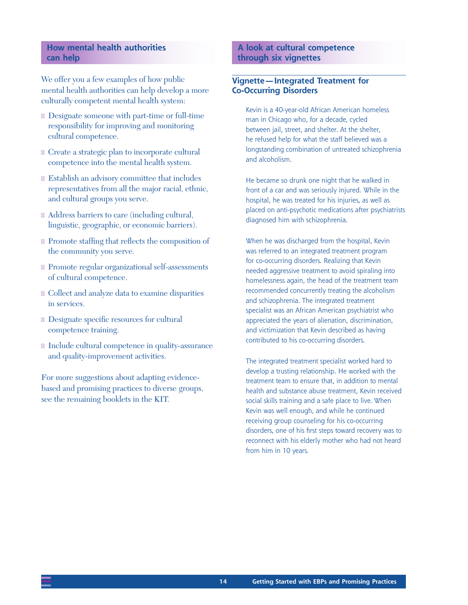#### **How mental health authorities can help**

We offer you a few examples of how public mental health authorities can help develop a more culturally competent mental health system:

- Designate someone with part-time or full-time responsibility for improving and monitoring cultural competence.
- Create a strategic plan to incorporate cultural competence into the mental health system.
- Establish an advisory committee that includes representatives from all the major racial, ethnic, and cultural groups you serve.
- Address barriers to care (including cultural, linguistic, geographic, or economic barriers).
- Promote staffing that reflects the composition of the community you serve.
- Promote regular organizational self-assessments of cultural competence.
- Collect and analyze data to examine disparities in services.
- Designate specific resources for cultural competence training.
- n Include cultural competence in quality-assurance and quality-improvement activities.

For more suggestions about adapting evidencebased and promising practices to diverse groups, see the remaining booklets in the KIT.

#### **A look at cultural competence through six vignettes**

#### **Vignette—Integrated Treatment for Co-Occurring Disorders**

Kevin is a 40-year-old African American homeless man in Chicago who, for a decade, cycled between jail, street, and shelter. At the shelter, he refused help for what the staff believed was a longstanding combination of untreated schizophrenia and alcoholism.

He became so drunk one night that he walked in front of a car and was seriously injured. While in the hospital, he was treated for his injuries, as well as placed on anti-psychotic medications after psychiatrists diagnosed him with schizophrenia.

When he was discharged from the hospital, Kevin was referred to an integrated treatment program for co-occurring disorders. Realizing that Kevin needed aggressive treatment to avoid spiraling into homelessness again, the head of the treatment team recommended concurrently treating the alcoholism and schizophrenia. The integrated treatment specialist was an African American psychiatrist who appreciated the years of alienation, discrimination, and victimization that Kevin described as having contributed to his co-occurring disorders.

The integrated treatment specialist worked hard to develop a trusting relationship. He worked with the treatment team to ensure that, in addition to mental health and substance abuse treatment, Kevin received social skills training and a safe place to live. When Kevin was well enough, and while he continued receiving group counseling for his co-occurring disorders, one of his first steps toward recovery was to reconnect with his elderly mother who had not heard from him in 10 years.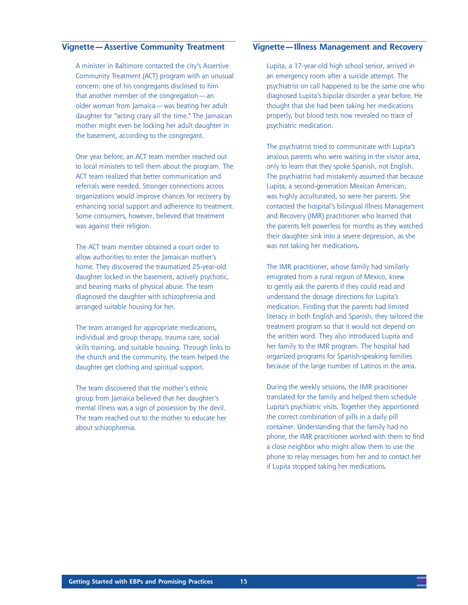#### **Vignette—Assertive Community Treatment**

A minister in Baltimore contacted the city's Assertive Community Treatment (ACT) program with an unusual concern: one of his congregants disclosed to him that another member of the congregation—an older woman from Jamaica—was beating her adult daughter for "acting crazy all the time." The Jamaican mother might even be locking her adult daughter in the basement, according to the congregant.

One year before, an ACT team member reached out to local ministers to tell them about the program. The ACT team realized that better communication and referrals were needed. Stronger connections across organizations would improve chances for recovery by enhancing social support and adherence to treatment. Some consumers, however, believed that treatment was against their religion.

The ACT team member obtained a court order to allow authorities to enter the Jamaican mother's home. They discovered the traumatized 25-year-old daughter locked in the basement, actively psychotic, and bearing marks of physical abuse. The team diagnosed the daughter with schizophrenia and arranged suitable housing for her.

The team arranged for appropriate medications, individual and group therapy, trauma care, social skills training, and suitable housing. Through links to the church and the community, the team helped the daughter get clothing and spiritual support.

The team discovered that the mother's ethnic group from Jamaica believed that her daughter's mental illness was a sign of possession by the devil. The team reached out to the mother to educate her about schizophrenia.

#### **Vignette—Illness Management and Recovery**

Lupita, a 17-year-old high school senior, arrived in an emergency room after a suicide attempt. The psychiatrist on call happened to be the same one who diagnosed Lupita's bipolar disorder a year before. He thought that she had been taking her medications properly, but blood tests now revealed no trace of psychiatric medication.

The psychiatrist tried to communicate with Lupita's anxious parents who were waiting in the visitor area, only to learn that they spoke Spanish, not English. The psychiatrist had mistakenly assumed that because Lupita, a second-generation Mexican American, was highly acculturated, so were her parents. She contacted the hospital's bilingual Illness Management and Recovery (IMR) practitioner who learned that the parents felt powerless for months as they watched their daughter sink into a severe depression, as she was not taking her medications.

The IMR practitioner, whose family had similarly emigrated from a rural region of Mexico, knew to gently ask the parents if they could read and understand the dosage directions for Lupita's medication. Finding that the parents had limited literacy in both English and Spanish, they tailored the treatment program so that it would not depend on the written word. They also introduced Lupita and her family to the IMR program. The hospital had organized programs for Spanish-speaking families because of the large number of Latinos in the area.

During the weekly sessions, the IMR practitioner translated for the family and helped them schedule Lupita's psychiatric visits. Together they apportioned the correct combination of pills in a daily pill container. Understanding that the family had no phone, the IMR practitioner worked with them to find a close neighbor who might allow them to use the phone to relay messages from her and to contact her if Lupita stopped taking her medications.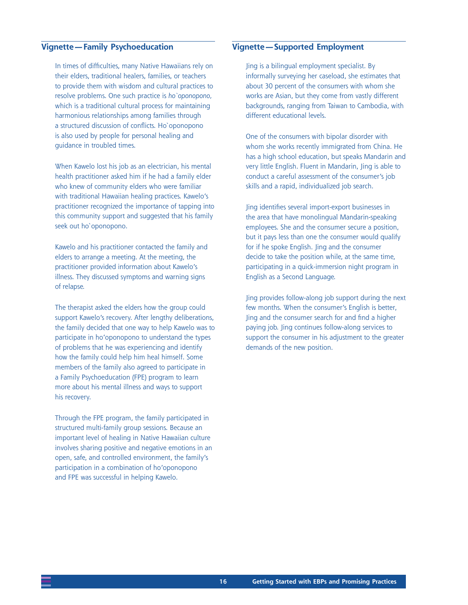#### **Vignette—Family Psychoeducation**

In times of difficulties, many Native Hawaiians rely on their elders, traditional healers, families, or teachers to provide them with wisdom and cultural practices to resolve problems. One such practice is *ho`oponopono,* which is a traditional cultural process for maintaining harmonious relationships among families through a structured discussion of conflicts. Ho`oponopono is also used by people for personal healing and guidance in troubled times.

When Kawelo lost his job as an electrician, his mental health practitioner asked him if he had a family elder who knew of community elders who were familiar with traditional Hawaiian healing practices. Kawelo's practitioner recognized the importance of tapping into this community support and suggested that his family seek out ho`oponopono.

Kawelo and his practitioner contacted the family and elders to arrange a meeting. At the meeting, the practitioner provided information about Kawelo's illness. They discussed symptoms and warning signs of relapse.

The therapist asked the elders how the group could support Kawelo's recovery. After lengthy deliberations, the family decided that one way to help Kawelo was to participate in ho'oponopono to understand the types of problems that he was experiencing and identify how the family could help him heal himself. Some members of the family also agreed to participate in a Family Psychoeducation (FPE) program to learn more about his mental illness and ways to support his recovery.

Through the FPE program, the family participated in structured multi-family group sessions. Because an important level of healing in Native Hawaiian culture involves sharing positive and negative emotions in an open, safe, and controlled environment, the family's participation in a combination of ho'oponopono and FPE was successful in helping Kawelo.

#### **Vignette—Supported Employment**

Jing is a bilingual employment specialist. By informally surveying her caseload, she estimates that about 30 percent of the consumers with whom she works are Asian, but they come from vastly different backgrounds, ranging from Taiwan to Cambodia, with different educational levels.

One of the consumers with bipolar disorder with whom she works recently immigrated from China. He has a high school education, but speaks Mandarin and very little English. Fluent in Mandarin, Jing is able to conduct a careful assessment of the consumer's job skills and a rapid, individualized job search.

Jing identifies several import-export businesses in the area that have monolingual Mandarin-speaking employees. She and the consumer secure a position, but it pays less than one the consumer would qualify for if he spoke English. Jing and the consumer decide to take the position while, at the same time, participating in a quick-immersion night program in English as a Second Language.

Jing provides follow-along job support during the next few months. When the consumer's English is better, Jing and the consumer search for and find a higher paying job. Jing continues follow-along services to support the consumer in his adjustment to the greater demands of the new position.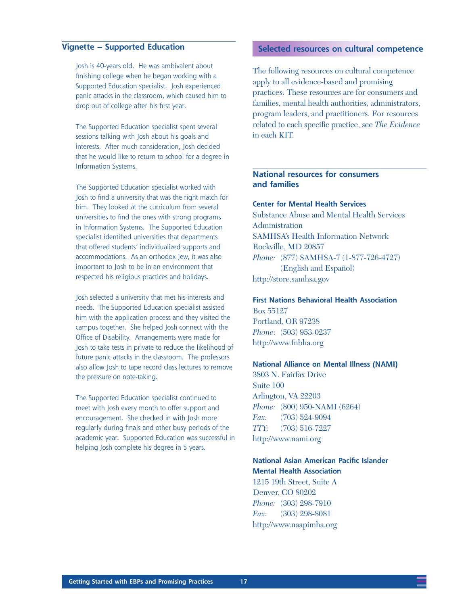#### **Vignette – Supported Education**

Josh is 40-years old. He was ambivalent about finishing college when he began working with a Supported Education specialist. Josh experienced panic attacks in the classroom, which caused him to drop out of college after his first year.

The Supported Education specialist spent several sessions talking with Josh about his goals and interests. After much consideration, Josh decided that he would like to return to school for a degree in Information Systems.

The Supported Education specialist worked with Josh to find a university that was the right match for him. They looked at the curriculum from several universities to find the ones with strong programs in Information Systems. The Supported Education specialist identified universities that departments that offered students' individualized supports and accommodations. As an orthodox Jew, it was also important to Josh to be in an environment that respected his religious practices and holidays.

Josh selected a university that met his interests and needs. The Supported Education specialist assisted him with the application process and they visited the campus together. She helped Josh connect with the Office of Disability. Arrangements were made for Josh to take tests in private to reduce the likelihood of future panic attacks in the classroom. The professors also allow Josh to tape record class lectures to remove the pressure on note-taking.

The Supported Education specialist continued to meet with Josh every month to offer support and encouragement. She checked in with Josh more regularly during finals and other busy periods of the academic year. Supported Education was successful in helping Josh complete his degree in 5 years.

#### **Selected resources on cultural competence**

The following resources on cultural competence apply to all evidence-based and promising practices. These resources are for consumers and families, mental health authorities, administrators, program leaders, and practitioners. For resources related to each specific practice, see *The Evidence* in each KIT.

#### **National resources for consumers and families**

#### **Center for Mental Health Services**

Substance Abuse and Mental Health Services Administration SAMHSA's Health Information Network Rockville, MD 20857 *Phone:* (877) SAMHSA-7 (1-877-726-4727) (English and Español) <http://store.samhsa.gov>

#### **First Nations Behavioral Health Association** Box 55127

Portland, OR 97238 *Phone*: (503) 953-0237 <http://www.fnbha.org>

#### **National Alliance on Mental Illness (NAMI)**

3803 N. Fairfax Drive Suite 100 Arlington, VA 22203 *Phone:* (800) 950-NAMI (6264) *Fax:* (703) 524-9094 *TTY:* (703) 516-7227 <http://www.nami.org>

#### **National Asian American Pacific Islander Mental Health Association**

1215 19th Street, Suite A Denver, CO 80202 *Phone:* (303) 298-7910 *Fax:* (303) 298-8081 <http://www.naapimha.org>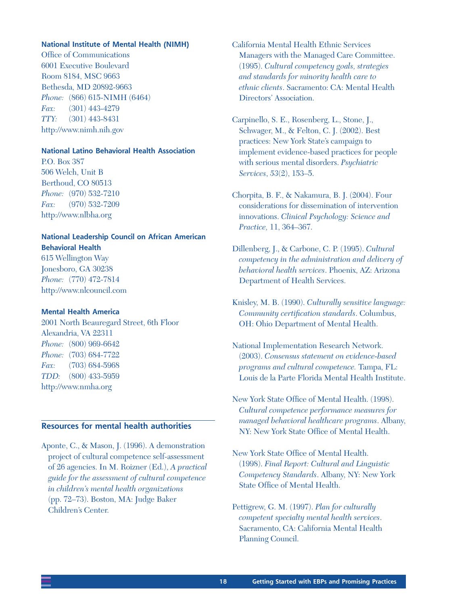#### **National Institute of Mental Health (NIMH)**

Office of Communications 6001 Executive Boulevard Room 8184, MSC 9663 Bethesda, MD 20892-9663 *Phone:* (866) 615-NIMH (6464) *Fax:* (301) 443-4279 *TTY:* (301) 443-8431 <http://www.nimh.nih.gov>

#### **National Latino Behavioral Health Association**

P.O. Box 387 506 Welch, Unit B Berthoud, CO 80513 *Phone:* (970) 532-7210 *Fax:* (970) 532-7209 <http://www.nlbha.org>

#### **National Leadership Council on African American Behavioral Health**

615 Wellington Way Jonesboro, GA 30238 *Phone:* (770) 472-7814 <http://www.nlcouncil.com>

#### **Mental Health America**

2001 North Beauregard Street, 6th Floor Alexandria, VA 22311 *Phone:* (800) 969-6642 *Phone:* (703) 684-7722 *Fax:* (703) 684-5968 *TDD:* (800) 433-5959 <http://www.nmha.org>

#### **Resources for mental health authorities**

Aponte, C., & Mason, J. (1996). A demonstration project of cultural competence self-assessment of 26 agencies. In M. Roizner (Ed.), *A practical guide for the assessment of cultural competence in children's mental health organizations* (pp. 72–73). Boston, MA: Judge Baker Children's Center.

California Mental Health Ethnic Services Managers with the Managed Care Committee. (1995). *Cultural competency goals, strategies and standards for minority health care to ethnic clients*. Sacramento: CA: Mental Health Directors' Association.

Carpinello, S. E., Rosenberg, L., Stone, J., Schwager, M., & Felton, C. J. (2002). Best practices: New York State's campaign to implement evidence-based practices for people with serious mental disorders. *Psychiatric Services*, *53*(2), 153–5.

Chorpita, B. F., & Nakamura, B. J. (2004). Four considerations for dissemination of intervention innovations. *Clinical Psychology: Science and Practice,* 11, 364–367.

Dillenberg, J., & Carbone, C. P. (1995). *Cultural competency in the administration and delivery of behavioral health services*. Phoenix, AZ: Arizona Department of Health Services.

Knisley, M. B. (1990). *Culturally sensitive language: Community certification standards*. Columbus, OH: Ohio Department of Mental Health.

National Implementation Research Network. (2003). *Consensus statement on evidence-based programs and cultural competence.* Tampa, FL: Louis de la Parte Florida Mental Health Institute.

New York State Office of Mental Health. (1998). *Cultural competence performance measures for managed behavioral healthcare programs*. Albany, NY: New York State Office of Mental Health.

New York State Office of Mental Health. (1998). *Final Report: Cultural and Linguistic Competency Standards*. Albany, NY: New York State Office of Mental Health.

Pettigrew, G. M. (1997). *Plan for culturally competent specialty mental health services*. Sacramento, CA: California Mental Health Planning Council.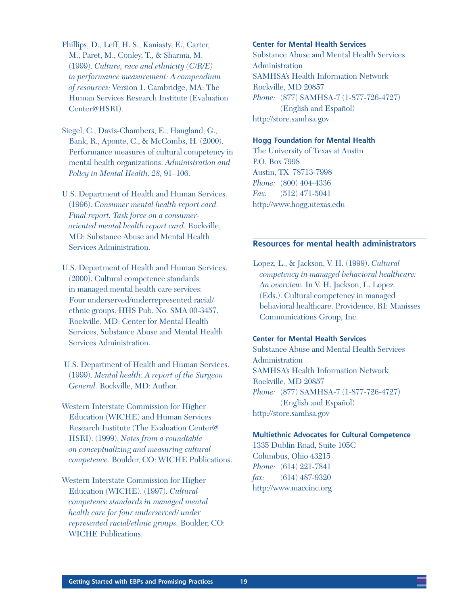Phillips, D., Leff, H. S., Kaniasty, E., Carter, M., Paret, M., Conley, T., & Sharma, M. (1999). *Culture, race and ethnicity (C/R/E) in performance measurement: A compendium of resources;* Version 1. Cambridge, MA: The Human Services Research Institute (Evaluation Center@HSRI).

- Siegel, C., Davis-Chambers, E., Haugland, G., Bank, R., Aponte, C., & McCombs, H. (2000). Performance measures of cultural competency in mental health organizations. *Administration and Policy in Mental Health*, *28,* 91–106.
- U.S. Department of Health and Human Services. (1996). *Consumer mental health report card. Final report: Task force on a consumeroriented mental health report card*. Rockville, MD: Substance Abuse and Mental Health Services Administration.
- U.S. Department of Health and Human Services. (2000). Cultural competence standards in managed mental health care services: Four underserved/underrepresented racial/ ethnic groups. HHS Pub. No. SMA 00-3457. Rockville, MD: Center for Mental Health Services, Substance Abuse and Mental Health Services Administration.
- U.S. Department of Health and Human Services. (1999). *Mental health: A report of the Surgeon General.* Rockville, MD: Author.
- Western Interstate Commission for Higher Education (WICHE) and Human Services Research Institute (The Evaluation Center@ HSRI). (1999). *Notes from a roundtable on conceptualizing and measuring cultural competence.* Boulder, CO: WICHE Publications.

Western Interstate Commission for Higher Education (WICHE). (1997). *Cultural competence standards in managed mental health care for four underserved/ under represented racial/ethnic groups.* Boulder, CO: WICHE Publications.

#### **Center for Mental Health Services**

Substance Abuse and Mental Health Services Administration SAMHSA's Health Information Network Rockville, MD 20857 *Phone:* (877) SAMHSA-7 (1-877-726-4727) (English and Español) <http://store.samhsa.gov>

#### **Hogg Foundation for Mental Health**

The University of Texas at Austin P.O. Box 7998 Austin, TX 78713-7998 *Phone:* (800) 404-4336 *Fax:* (512) 471-5041 <http://www.hogg.utexas.edu>

#### **Resources for mental health administrators**

Lopez, L., & Jackson, V. H. (1999). *Cultural competency in managed behavioral healthcare: An overview.* In V. H. Jackson, L. Lopez (Eds.). Cultural competency in managed behavioral healthcare. Providence, RI: Manisses Communications Group, Inc.

#### **Center for Mental Health Services**

Substance Abuse and Mental Health Services Administration SAMHSA's Health Information Network Rockville, MD 20857 *Phone:* (877) SAMHSA-7 (1-877-726-4727) (English and Español) <http://store.samhsa.gov>

#### **Multiethnic Advocates for Cultural Competence**

1335 Dublin Road, Suite 105C Columbus, Ohio 43215 *Phone:* (614) 221-7841 *fax:* (614) 487-9320 <http://www.maccinc.org>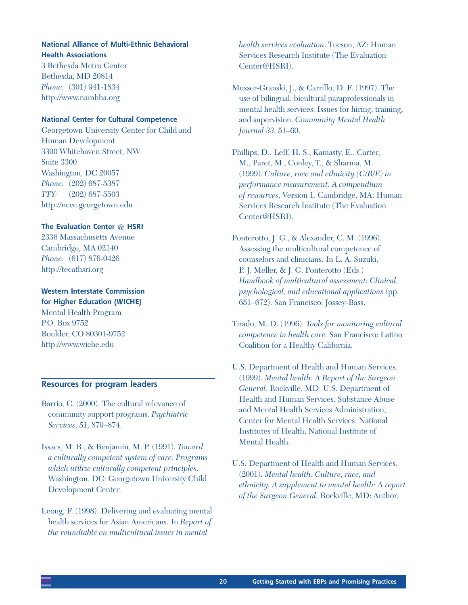#### **National Alliance of Multi-Ethnic Behavioral Health Associations**

3 Bethesda Metro Center Bethesda, MD 20814 *Phone:* (301) 941-1834 <http://www.nambha.org>

#### **National Center for Cultural Competence**

Georgetown University Center for Child and Human Development 3300 Whitehaven Street, NW Suite 3300 Washington, DC 20057 *Phone:* (202) 687-5387 *TTY:* (202) 687-5503 <http://nccc.georgetown.edu>

#### **The Evaluation Center @ HSRI**

2336 Massachusetts Avenue Cambridge, MA 02140 *Phone:* (617) 876-0426 <http://tecathsri.org>

#### **Western Interstate Commission**

**for Higher Education (WICHE)**  Mental Health Program P.O. Box 9752 Boulder, CO 80301-9752 <http://www.wiche.edu>

#### **Resources for program leaders**

Barrio, C. (2000). The cultural relevance of community support programs. *Psychiatric Services*, *51,* 879–874.

- Issacs, M. R., & Benjamin, M. P. (1991). *Toward a culturally competent system of care: Programs which utilize culturally competent principles*. Washington, DC: Georgetown University Child Development Center.
- Leong, F. (1998). Delivering and evaluating mental health services for Asian Americans. In *Report of the roundtable on multicultural issues in mental*

*health services evaluation*. Tucson, AZ: Human Services Research Institute (The Evaluation Center@HSRI).

Musser-Granski, J., & Carrillo, D. F. (1997). The use of bilingual, bicultural paraprofessionals in mental health services: Issues for hiring, training, and supervision. *Community Mental Health Journal 33,* 51–60.

Phillips, D., Leff, H. S., Kaniasty, E., Carter, M., Paret, M., Conley, T., & Sharma, M. (1999). *Culture, race and ethnicity (C/R/E) in performance measurement: A compendium of resources;* Version 1. Cambridge, MA: Human Services Research Institute (The Evaluation Center@HSRI).

Ponterotto, J. G., & Alexander, C. M. (1996). Assessing the multicultural competence of counselors and clinicians. In L. A. Suzuki, P. J. Meller, & J. G. Ponterotto (Eds.) *Handbook of multicultural assessment: Clinical, psychological, and educational applications* (pp. 651–672). San Francisco: Jossey-Bass.

- Tirado, M. D. (1996). *Tools for monitoring cultural competence in health care.* San Francisco: Latino Coalition for a Healthy California.
- U.S. Department of Health and Human Services. (1999). *Mental health: A Report of the Surgeon General.* Rockville, MD: U.S. Department of Health and Human Services, Substance Abuse and Mental Health Services Administration, Center for Mental Health Services, National Institutes of Health, National Institute of Mental Health.
- U.S. Department of Health and Human Services. (2001). *Mental health: Culture, race, and ethnicity. A supplement to mental health: A report of the Surgeon General.* Rockville, MD: Author.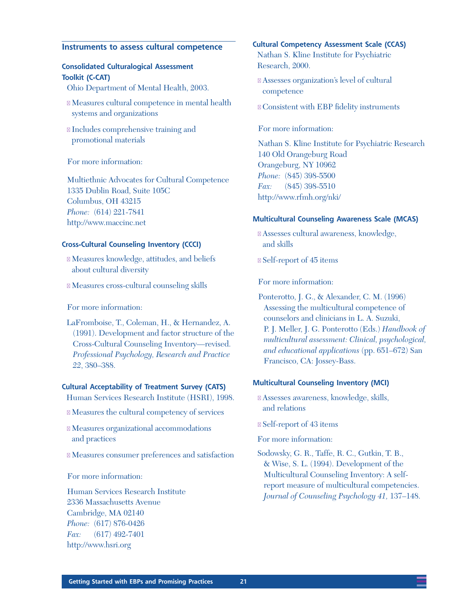#### **Instruments to assess cultural competence**

#### **Consolidated Culturalogical Assessment Toolkit (C-CAT)**

- Ohio Department of Mental Health, 2003.
- n Measures cultural competence in mental health systems and organizations
- n Includes comprehensive training and promotional materials

For more information:

[Multiethnic Advocates for Cultural Compete](http://www.ccattoolkit.org/C-CAT.shtml)nce 1335 Dublin Road, Suite 105C Columbus, OH 43215 *Phone:* (614) 221-7841 <http://www.maccinc.net>

#### **Cross-Cultural Counseling Inventory (CCCI)**

- n Measures knowledge, attitudes, and beliefs about cultural diversity
- n Measures cross-cultural counseling skills

For more information:

LaFromboise, T., Coleman, H., & Hernandez, A. (1991). Development and factor structure of the Cross-Cultural Counseling Inventory—revised. *Professional Psychology, Research and Practice 22*, 380–388.

#### **Cultural Acceptability of Treatment Survey (CATS)**

Human Services Research Institute (HSRI), 1998.

- n Measures the cultural competency of services
- n Measures organizational accommodations and practices
- n Measures consumer preferences and satisfaction

For more information:

Human Services Research Institute 2336 Massachusetts Avenue Cambridge, MA 02140 *Phone:* (617) 876-0426 *Fax:* (617) 492-7401 <http://www.hsri.org>

#### **Cultural Competency Assessment Scale (CCAS)**

Nathan S. Kline Institute for Psychiatric Research, 2000.

- n Assesses organization's level of cultural competence
- n Consistent with EBP fidelity instruments

For more information:

Nathan S. Kline Institute for Psychiatric Research 140 Old Orangeburg Road Orangeburg, NY 10962 *Phone:* (845) 398-5500 *Fax:* (845) 398-5510 <http://www.rfmh.org/nki/>

#### **Multicultural Counseling Awareness Scale (MCAS)**

- n Assesses cultural awareness, knowledge, and skills
- n Self-report of 45 items

For more information:

Ponterotto, J. G., & Alexander, C. M. (1996) Assessing the multicultural competence of counselors and clinicians in L. A. Suzuki, P. J. Meller, J. G. Ponterotto (Eds.) *Handbook of multicultural assessment: Clinical, psychological, and educational applications* (pp. 651–672) San Francisco, CA: Jossey-Bass.

#### **Multicultural Counseling Inventory (MCI)**

- n Assesses awareness, knowledge, skills, and relations
- n Self-report of 43 items

For more information:

Sodowsky, G. R., Taffe, R. C., Gutkin, T. B., & Wise, S. L. (1994). Development of the Multicultural Counseling Inventory: A selfreport measure of multicultural competencies. *Journal of Counseling Psychology 41,* 137–148.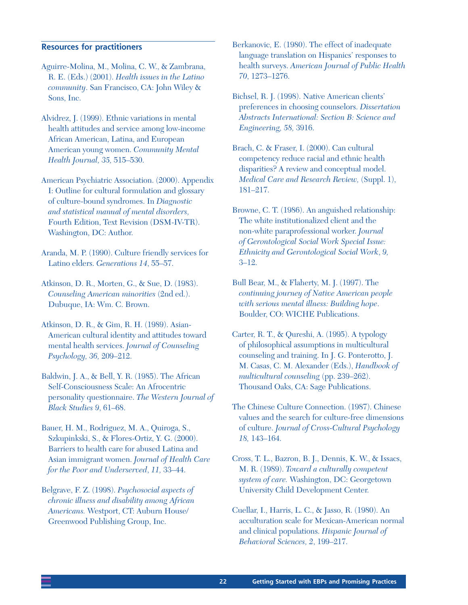#### **Resources for practitioners**

- Aguirre-Molina, M., Molina, C. W., & Zambrana, R. E. (Eds.) (2001). *Health issues in the Latino community*. San Francisco, CA: John Wiley & Sons, Inc.
- Alvidrez, J. (1999). Ethnic variations in mental health attitudes and service among low-income African American, Latina, and European American young women. *Community Mental Health Journal, 35,* 515–530.
- American Psychiatric Association. (2000). Appendix I: Outline for cultural formulation and glossary of culture-bound syndromes. In *Diagnostic and statistical manual of mental disorders,* Fourth Edition, Text Revision (DSM-IV-TR). Washington, DC: Author.
- Aranda, M. P. (1990). Culture friendly services for Latino elders. *Generations 14*, 55–57.
- Atkinson, D. R., Morten, G., & Sue, D. (1983). *Counseling American minorities* (2nd ed.). Dubuque, IA: Wm. C. Brown.
- Atkinson, D. R., & Gim, R. H. (1989). Asian-American cultural identity and attitudes toward mental health services. *Journal of Counseling Psychology, 36,* 209–212.
- Baldwin, J. A., & Bell, Y. R. (1985). The African Self-Consciousness Scale: An Afrocentric personality questionnaire. *The Western Journal of Black Studies 9*, 61–68.
- Bauer, H. M., Rodriguez, M. A., Quiroga, S., Szkupinkski, S., & Flores-Ortiz, Y. G. (2000). Barriers to health care for abused Latina and Asian immigrant women. *Journal of Health Care for the Poor and Underserved*, *11,* 33–44.
- Belgrave, F. Z. (1998). *Psychosocial aspects of chronic illness and disability among African Americans.* Westport, CT: Auburn House/ Greenwood Publishing Group, Inc.

Berkanovic, E. (1980). The effect of inadequate language translation on Hispanics' responses to health surveys. *American Journal of Public Health 70*, 1273–1276.

- Bichsel, R. J. (1998). Native American clients' preferences in choosing counselors. *Dissertation Abstracts International: Section B: Science and Engineering, 58,* 3916.
- Brach, C. & Fraser, I. (2000). Can cultural competency reduce racial and ethnic health disparities? A review and conceptual model. *Medical Care and Research Review,* (Suppl. 1), 181–217.
- Browne, C. T. (1986). An anguished relationship: The white institutionalized client and the non-white paraprofessional worker. *Journal of Gerontological Social Work Special Issue: Ethnicity and Gerontological Social Work*, *9,*  3–12.
- Bull Bear, M., & Flaherty, M. J. (1997). The *continuing journey of Native American people with serious mental illness: Building hope*. Boulder, CO: WICHE Publications.
- Carter, R. T., & Qureshi, A. (1995). A typology of philosophical assumptions in multicultural counseling and training. In J. G. Ponterotto, J. M. Casas, C. M. Alexander (Eds.), *Handbook of multicultural counseling* (pp. 239–262). Thousand Oaks, CA: Sage Publications.
- The Chinese Culture Connection. (1987). Chinese values and the search for culture-free dimensions of culture. *Journal of Cross-Cultural Psychology 18,* 143–164.
- Cross, T. L., Bazron, B. J., Dennis, K. W., & Issacs, M. R. (1989). *Toward a culturally competent system of care.* Washington, DC: Georgetown University Child Development Center.
- Cuellar, I., Harris, L. C., & Jasso, R. (1980). An acculturation scale for Mexican-American normal and clinical populations. *Hispanic Journal of Behavioral Sciences, 2*, 199–217.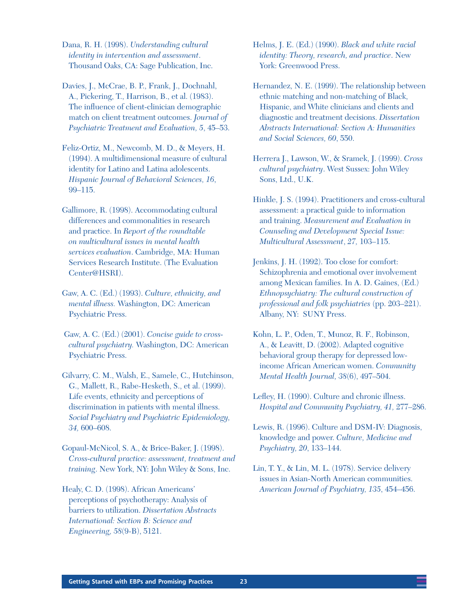Dana, R. H. (1998). *Understanding cultural identity in intervention and assessment*. Thousand Oaks, CA: Sage Publication, Inc.

Davies, J., McCrae, B. P., Frank, J., Dochnahl, A., Pickering, T., Harrison, B., et al. (1983). The influence of client-clinician demographic match on client treatment outcomes. *Journal of Psychiatric Treatment and Evaluation, 5*, 45–53.

Feliz-Ortiz, M., Newcomb, M. D., & Meyers, H. (1994). A multidimensional measure of cultural identity for Latino and Latina adolescents. *Hispanic Journal of Behavioral Sciences, 16*, 99–115.

Gallimore, R. (1998). Accommodating cultural differences and commonalities in research and practice. In *Report of the roundtable on multicultural issues in mental health services evaluation*. Cambridge, MA: Human Services Research Institute. (The Evaluation Center@HSRI).

Gaw, A. C. (Ed.) (1993). *Culture, ethnicity, and mental illness.* Washington, DC: American Psychiatric Press.

 Gaw, A. C. (Ed.) (2001). *Concise guide to crosscultural psychiatry.* Washington, DC: American Psychiatric Press.

Gilvarry, C. M., Walsh, E., Samele, C., Hutchinson, G., Mallett, R., Rabe-Hesketh, S., et al. (1999). Life events, ethnicity and perceptions of discrimination in patients with mental illness. *Social Psychiatry and Psychiatric Epidemiology, 34,* 600–608.

Gopaul-McNicol, S. A., & Brice-Baker, J. (1998). *Cross-cultural practice: assessment, treatment and training*. New York, NY: John Wiley & Sons, Inc.

Healy, C. D. (1998). African Americans' perceptions of psychotherapy: Analysis of barriers to utilization. *Dissertation Abstracts International: Section B: Science and Engineering, 58*(9-B), 5121.

Helms, J. E. (Ed.) (1990). *Black and white racial identity: Theory, research, and practice*. New York: Greenwood Press.

Hernandez, N. E. (1999). The relationship between ethnic matching and non-matching of Black, Hispanic, and White clinicians and clients and diagnostic and treatment decisions. *Dissertation Abstracts International: Section A: Humanities and Social Sciences, 60*, 550.

Herrera J., Lawson, W., & Sramek, J. (1999). *Cross cultural psychiatry*. West Sussex: John Wiley Sons, Ltd., U.K.

Hinkle, J. S. (1994). Practitioners and cross-cultural assessment: a practical guide to information and training. *Measurement and Evaluation in Counseling and Development Special Issue: Multicultural Assessment*, *27,* 103–115.

Jenkins, J. H. (1992). Too close for comfort: Schizophrenia and emotional over involvement among Mexican families. In A. D. Gaines, (Ed.) *Ethnopsychiatry: The cultural construction of professional and folk psychiatries* (pp. 203–221). Albany, NY: SUNY Press.

Kohn, L. P., Oden, T., Munoz, R. F., Robinson, A., & Leavitt, D. (2002). Adapted cognitive behavioral group therapy for depressed lowincome African American women. *Community Mental Health Journal, 38*(6), 497–504.

Lefley, H. (1990). Culture and chronic illness. *Hospital and Community Psychiatry, 41,* 277–286.

Lewis, R. (1996). Culture and DSM-IV: Diagnosis, knowledge and power. *Culture, Medicine and Psychiatry, 20*, 133–144.

Lin, T. Y., & Lin, M. L. (1978). Service delivery issues in Asian-North American communities. *American Journal of Psychiatry, 135*, 454–456.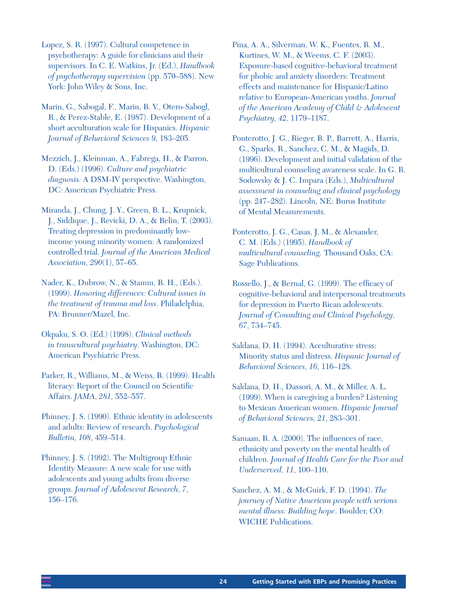Lopez, S. R. (1997). Cultural competence in psychotherapy: A guide for clinicians and their supervisors. In C. E. Watkins, Jr. (Ed.), *Handbook of psychotherapy supervision* (pp. 570–588). New York: John Wiley & Sons, Inc.

Marin, G., Sabogal, F., Marin, B. V., Otero-Sabogl, R., & Perez-Stable, E. (1987). Development of a short acculturation scale for Hispanics. *Hispanic Journal of Behavioral Sciences 9*, 183–205.

Mezzich, J., Kleinman, A., Fabrega, H., & Parron, D. (Eds.) (1996). *Culture and psychiatric diagnosis:* A DSM-IV perspective. Washington, DC: American Psychiatric Press.

Miranda, J., Chung, J. Y., Green, B. L., Krupnick, J., Siddique, J., Revicki, D. A., & Belin, T. (2003). Treating depression in predominantly lowincome young minority women: A randomized controlled trial. *Journal of the American Medical Association, 290*(1), 57–65.

Nader, K., Dubrow, N., & Stamm, B. H., (Eds.). (1999). *Honoring differences: Cultural issues in the treatment of trauma and loss*. Philadelphia, PA: Brunner/Mazel, Inc.

Okpaku, S. O. (Ed.) (1998). *Clinical methods in transcultural psychiatry*. Washington, DC: American Psychiatric Press.

Parker, R., Williams, M., & Weiss, B. (1999). Health literacy: Report of the Council on Scientific Affairs. *JAMA*, *281,* 552–557.

Phinney, J. S. (1990). Ethnic identity in adolescents and adults: Review of research. *Psychological Bulletin, 108*, 459–514.

Phinney, J. S. (1992). The Multigroup Ethnic Identity Measure: A new scale for use with adolescents and young adults from diverse groups. *Journal of Adolescent Research, 7*, 156–176.

Pina, A. A., Silverman, W. K., Fuentes, R. M., Kurtines, W. M., & Weems, C. F. (2003). Exposure-based cognitive-behavioral treatment for phobic and anxiety disorders: Treatment effects and maintenance for Hispanic/Latino relative to European-American youths. *Journal of the American Academy of Child & Adolescent Psychiatry, 42*, 1179–1187.

Ponterotto, J. G., Rieger, B. P., Barrett, A., Harris, G., Sparks, R., Sanchez, C. M., & Magids, D. (1996). Development and initial validation of the multicultural counseling awareness scale. In G. R. Sodowsky & J. C. Impara (Eds.), *Multicultural assessment in counseling and clinical psychology*  (pp. 247–282). Lincoln, NE: Buros Institute of Mental Measurements.

Ponterotto, J. G., Casas, J. M., & Alexander, C. M. (Eds.) (1995). *Handbook of multicultural counseling.* Thousand Oaks, CA: Sage Publications.

Rossello, J., & Bernal, G. (1999). The efficacy of cognitive-behavioral and interpersonal treatments for depression in Puerto Rican adolescents. *Journal of Consulting and Clinical Psychology, 67*, 734–745.

Saldana, D. H. (1994). Acculturative stress: Minority status and distress. *Hispanic Journal of Behavioral Sciences, 16*, 116–128.

Saldana, D. H., Dassori, A. M., & Miller, A. L. (1999). When is caregiving a burden? Listening to Mexican American women. *Hispanic Journal of Behavioral Sciences, 21*, 283–301.

Samaan, R. A. (2000). The influences of race, ethnicity and poverty on the mental health of children. *Journal of Health Care for the Poor and Underserved, 11*, 100–110.

Sanchez, A. M., & McGuirk, F. D. (1994). *The journey of Native American people with serious mental illness: Building hope*. Boulder, CO: WICHE Publications.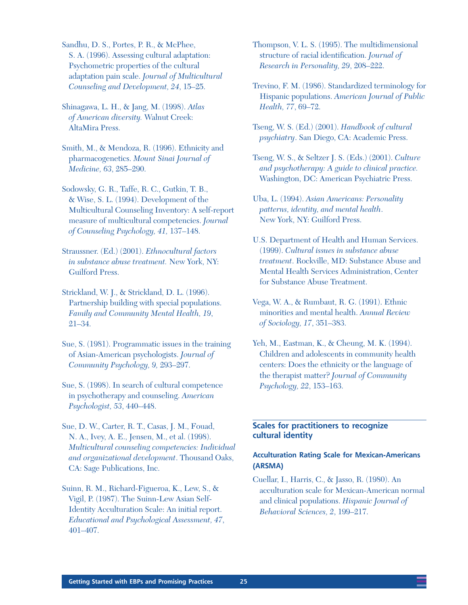Sandhu, D. S., Portes, P. R., & McPhee, S. A. (1996). Assessing cultural adaptation: Psychometric properties of the cultural adaptation pain scale. *Journal of Multicultural Counseling and Development, 24*, 15–25.

Shinagawa, L. H., & Jang, M. (1998). *Atlas of American diversity.* Walnut Creek: AltaMira Press.

Smith, M., & Mendoza, R. (1996). Ethnicity and pharmacogenetics. *Mount Sinai Journal of Medicine, 63*, 285–290.

Sodowsky, G. R., Taffe, R. C., Gutkin, T. B., & Wise, S. L. (1994). Development of the Multicultural Counseling Inventory: A self-report measure of multicultural competencies. *Journal of Counseling Psychology, 41,* 137–148.

Straussner. (Ed.) (2001). *Ethnocultural factors in substance abuse treatment.* New York, NY: Guilford Press.

Strickland, W. J., & Strickland, D. L. (1996). Partnership building with special populations. *Family and Community Mental Health, 19*, 21–34.

Sue, S. (1981). Programmatic issues in the training of Asian-American psychologists. *Journal of Community Psychology, 9,* 293–297.

Sue, S. (1998). In search of cultural competence in psychotherapy and counseling. *American Psychologist, 53*, 440–448.

Sue, D. W., Carter, R. T., Casas, J. M., Fouad, N. A., Ivey, A. E., Jensen, M., et al. (1998). *Multicultural counseling competencies: Individual and organizational development*. Thousand Oaks, CA: Sage Publications, Inc.

Suinn, R. M., Richard-Figueroa, K., Lew, S., & Vigil, P. (1987). The Suinn-Lew Asian Self-Identity Acculturation Scale: An initial report. *Educational and Psychological Assessment, 47*, 401–407.

Thompson, V. L. S. (1995). The multidimensional structure of racial identification. *Journal of Research in Personality, 29*, 208–222.

Trevino, F. M. (1986). Standardized terminology for Hispanic populations. *American Journal of Public Health, 77*, 69–72.

Tseng, W. S. (Ed.) (2001). *Handbook of cultural psychiatry*. San Diego, CA: Academic Press.

Tseng, W. S., & Seltzer J. S. (Eds.) (2001). *Culture and psychotherapy: A guide to clinical practice.* Washington, DC: American Psychiatric Press.

Uba, L. (1994). *Asian Americans: Personality patterns, identity, and mental health*. New York, NY: Guilford Press.

U.S. Department of Health and Human Services. (1999). *Cultural issues in substance abuse treatment*. Rockville, MD: Substance Abuse and Mental Health Services Administration, Center for Substance Abuse Treatment.

Vega, W. A., & Rumbaut, R. G. (1991). Ethnic minorities and mental health. *Annual Review of Sociology, 17*, 351–383.

Yeh, M., Eastman, K., & Cheung, M. K. (1994). Children and adolescents in community health centers: Does the ethnicity or the language of the therapist matter? *Journal of Community Psychology, 22*, 153–163.

#### **Scales for practitioners to recognize cultural identity**

#### **Acculturation Rating Scale for Mexican-Americans (ARSMA)**

Cuellar, I., Harris, C., & Jasso, R. (1980). An acculturation scale for Mexican-American normal and clinical populations. *Hispanic Journal of Behavioral Sciences, 2*, 199–217.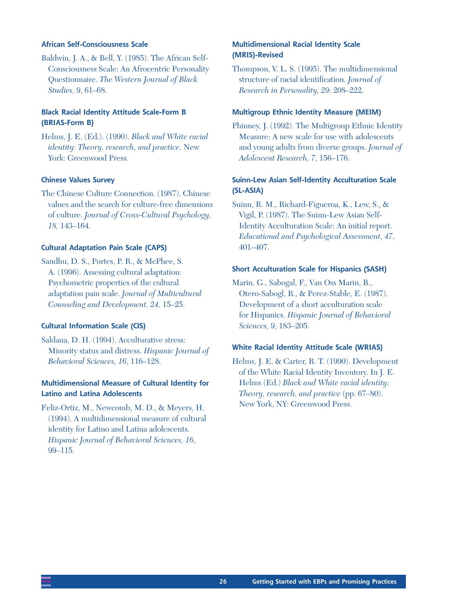#### **African Self-Consciousness Scale**

Baldwin, J. A., & Bell, Y. (1985). The African Self-Consciousness Scale: An Afrocentric Personality Questionnaire. *The Western Journal of Black Studies, 9*, 61–68.

#### **Black Racial Identity Attitude Scale-Form B (BRIAS-Form B)**

Helms, J. E. (Ed.). (1990). *Black and White racial identity: Theory, research, and practice*. New York: Greenwood Press.

#### **Chinese Values Survey**

The Chinese Culture Connection. (1987). Chinese values and the search for culture-free dimensions of culture. *Journal of Cross-Cultural Psychology, 18,* 143–164.

#### **Cultural Adaptation Pain Scale (CAPS)**

Sandhu, D. S., Portes, P. R., & McPhee, S. A. (1996). Assessing cultural adaptation: Psychometric properties of the cultural adaptation pain scale. *Journal of Multicultural Counseling and Development, 24,* 15–25.

#### **Cultural Information Scale (CIS)**

Saldana, D. H. (1994). Acculturative stress: Minority status and distress. *Hispanic Journal of Behavioral Sciences, 16*, 116–128.

#### **Multidimensional Measure of Cultural Identity for Latino and Latina Adolescents**

Feliz-Ortiz, M., Newcomb, M. D., & Meyers, H. (1994). A multidimensional measure of cultural identity for Latino and Latina adolescents. *Hispanic Journal of Behavioral Sciences, 16*, 99–115.

#### **Multidimensional Racial Identity Scale (MRIS)-Revised**

Thompson, V. L. S. (1995). The multidimensional structure of racial identification. *Journal of Research in Personality, 29*: 208–222.

#### **Multigroup Ethnic Identity Measure (MEIM)**

Phinney, J. (1992). The Multigroup Ethnic Identity Measure: A new scale for use with adolescents and young adults from diverse groups. *Journal of Adolescent Research, 7*, 156–176.

#### **Suinn-Lew Asian Self-Identity Acculturation Scale (SL-ASIA)**

Suinn, R. M., Richard-Figueroa, K., Lew, S., & Vigil, P. (1987). The Suinn-Lew Asian Self-Identity Acculturation Scale: An initial report. *Educational and Psychological Assessment, 47*, 401–407.

#### **Short Acculturation Scale for Hispanics (SASH)**

Marin, G., Sabogal, F., Van Oss Marin, B., Otero-Sabogl, R., & Perez-Stable, E. (1987). Development of a short acculturation scale for Hispanics. *Hispanic Journal of Behavioral Sciences, 9,* 183–205.

#### **White Racial Identity Attitude Scale (WRIAS)**

Helms, J. E. & Carter, R. T. (1990). Development of the White Racial Identity Inventory. In J. E. Helms (Ed.) *Black and White racial identity: Theory, research, and practice* (pp. 67–80). New York, NY: Greenwood Press.